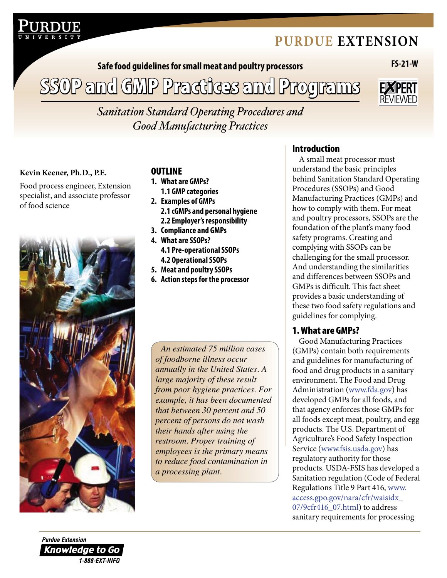# **[Purdue extension](http://www.ces.purdue.edu)**

**Safe food guidelines for small meat and poultry processors FS-21-W**

SSOP and GMP Practices and Programs



*Sanitation Standard Operating Procedures and Good Manufacturing Practices*

#### Kevin Keener, Ph.D., P.E.

Food process engineer, Extension specialist, and associate professor of food science



### **OUTLINE**

- **1. What are GMPs?**
- **1.1 GMP categories 2. Examples of GMPs 2.1 cGMPs and personal hygiene 2.2 Employer's responsibility**
- **3. Compliance and GMPs**
- **4. What are SSOPs?**
- **4.1 Pre-operational SSOPs 4.2 Operational SSOPs**
- **5. Meat and poultry SSOPs**
- **6. Action steps for the processor**

*An estimated 75 million cases of foodborne illness occur annually in the United States. A large majority of these result from poor hygiene practices. For example, it has been documented that between 30 percent and 50 percent of persons do not wash their hands after using the restroom. Proper training of employees is the primary means to reduce food contamination in a processing plant.*

## Introduction

A small meat processor must understand the basic principles behind Sanitation Standard Operating Procedures (SSOPs) and Good Manufacturing Practices (GMPs) and how to comply with them. For meat and poultry processors, SSOPs are the foundation of the plant's many food safety programs. Creating and complying with SSOPs can be challenging for the small processor. And understanding the similarities and differences between SSOPs and GMPs is difficult. This fact sheet provides a basic understanding of these two food safety regulations and guidelines for complying.

## 1. What are GMPs?

Good Manufacturing Practices (GMPs) contain both requirements and guidelines for manufacturing of food and drug products in a sanitary environment. The Food and Drug Administration [\(www.fda.gov\) h](http://www.fda.gov)as developed GMPs for all foods, and that agency enforces those GMPs for all foods except meat, poultry, and egg products. The U.S. Department of Agriculture's Food Safety Inspection Service [\(www.fsis.usda.gov\) h](http://www.fsis.usda.gov)as regulatory authority for those products. USDA-FSIS has developed a Sanitation regulation (Code of Federal [Regulations Title 9 Part 416, www.](http://www.access.gpo.gov/nara/cfr/waisidx_07/9cfr416_07.html) access.gpo.gov/nara/cfr/waisidx\_ 07/9cfr416\_07.html) to address sanitary requirements for processing

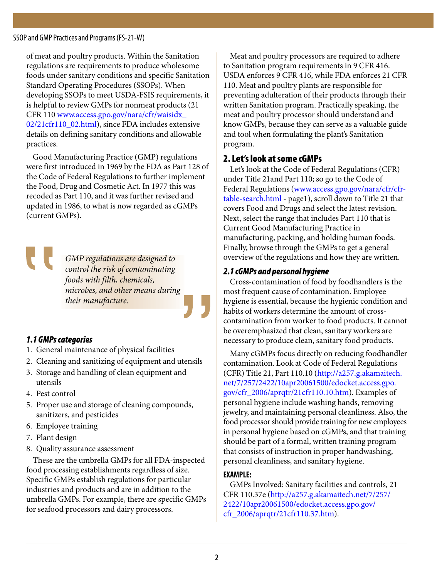SSOP and GMP Practices and Programs (FS-21-W)

of meat and poultry products. Within the Sanitation regulations are requirements to produce wholesome foods under sanitary conditions and specific Sanitation Standard Operating Procedures (SSOPs). When developing SSOPs to meet USDA-FSIS requirements, it is helpful to review GMPs for nonmeat products (21 CFR 110 [www.access.gpo.gov/nara/cfr/waisidx\\_](http://www.access.gpo.gov/nara/cfr/waisidx_02/21cfr110_02.html) [02/21cfr110\\_02.html](http://www.access.gpo.gov/nara/cfr/waisidx_02/21cfr110_02.html)), since FDA includes extensive details on defining sanitary conditions and allowable practices.

Good Manufacturing Practice (GMP) regulations were first introduced in 1969 by the FDA as Part 128 of the Code of Federal Regulations to further implement the Food, Drug and Cosmetic Act. In 1977 this was recoded as Part 110, and it was further revised and updated in 1986, to what is now regarded as cGMPs (current GMPs).

> *GMP regulations are designed to control the risk of contaminating foods with filth, chemicals, microbes, and other means during their manufacture.*

## *1.1 GMPs categories*

- 1. General maintenance of physical facilities
- 2. Cleaning and sanitizing of equipment and utensils
- 3. Storage and handling of clean equipment and utensils
- 4. Pest control
- 5. Proper use and storage of cleaning compounds, sanitizers, and pesticides
- 6. Employee training
- 7. Plant design
- 8. Quality assurance assessment

These are the umbrella GMPs for all FDA-inspected food processing establishments regardless of size. Specific GMPs establish regulations for particular industries and products and are in addition to the umbrella GMPs. For example, there are specific GMPs for seafood processors and dairy processors.

Meat and poultry processors are required to adhere to Sanitation program requirements in 9 CFR 416. USDA enforces 9 CFR 416, while FDA enforces 21 CFR 110. Meat and poultry plants are responsible for preventing adulteration of their products through their written Sanitation program. Practically speaking, the meat and poultry processor should understand and know GMPs, because they can serve as a valuable guide and tool when formulating the plant's Sanitation program.

### 2. Let's look at some cGMPs

Let's look at the Code of Federal Regulations (CFR) under Title 21and Part 110; so go to the Code of [Federal Regulations \(www.access.gpo.gov/nara/cfr/cfr](http://www.access.gpo.gov/nara/cfr/cfr-table-search.html)table-search.html - page1), scroll down to Title 21 that covers Food and Drugs and select the latest revision. Next, select the range that includes Part 110 that is Current Good Manufacturing Practice in manufacturing, packing, and holding human foods. Finally, browse through the GMPs to get a general overview of the regulations and how they are written.

### *2.1 cGMPs and personal hygiene*

Cross-contamination of food by foodhandlers is the most frequent cause of contamination. Employee hygiene is essential, because the hygienic condition and habits of workers determine the amount of crosscontamination from worker to food products. It cannot be overemphasized that clean, sanitary workers are necessary to produce clean, sanitary food products.

Many cGMPs focus directly on reducing foodhandler contamination. Look at Code of Federal Regulations (CFR) Title 21, Part 110.10 (http://[a257.g.akamaitech.](http://a257.g.akamaitech.net/7/257/2422/10apr20061500/edocket.access.gpo.gov/cfr_2006/aprqtr/21cfr110.10.htm) [net/7/257/2422/10apr20061500/edocket.access.gpo.](http://a257.g.akamaitech.net/7/257/2422/10apr20061500/edocket.access.gpo.gov/cfr_2006/aprqtr/21cfr110.10.htm) [gov/cfr\\_2006/aprqtr/21cfr110.10.htm](http://a257.g.akamaitech.net/7/257/2422/10apr20061500/edocket.access.gpo.gov/cfr_2006/aprqtr/21cfr110.10.htm)). Examples of personal hygiene include washing hands, removing jewelry, and maintaining personal cleanliness. Also, the food processor should provide training for new employees in personal hygiene based on cGMPs, and that training should be part of a formal, written training program that consists of instruction in proper handwashing, personal cleanliness, and sanitary hygiene.

#### **EXAMPLE:**

GMPs Involved: Sanitary facilities and controls, 21 CFR 110.37e ([http://a257.g.akamaitech.net/7/257/](http://a257.g.akamaitech.net/7/257/2422/10apr20061500/edocket.access.gpo.gov/cfr_2006/aprqtr/21cfr110.37.htm) [2422/10apr20061500/edocket.access.gpo.gov/](http://a257.g.akamaitech.net/7/257/2422/10apr20061500/edocket.access.gpo.gov/cfr_2006/aprqtr/21cfr110.37.htm) [cfr\\_2006/aprqtr/21cfr110.37.htm\)](http://a257.g.akamaitech.net/7/257/2422/10apr20061500/edocket.access.gpo.gov/cfr_2006/aprqtr/21cfr110.37.htm).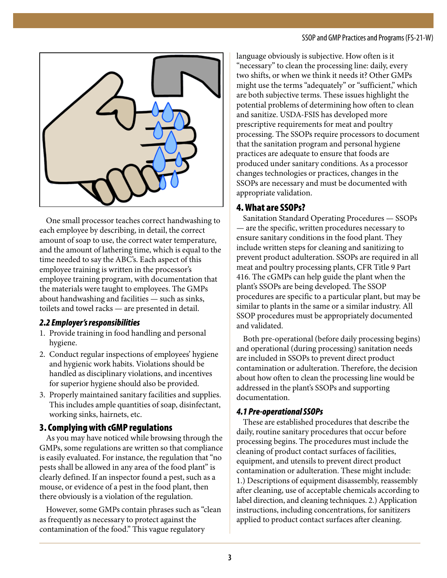

One small processor teaches correct handwashing to each employee by describing, in detail, the correct amount of soap to use, the correct water temperature, and the amount of lathering time, which is equal to the time needed to say the ABC's. Each aspect of this employee training is written in the processor's employee training program, with documentation that the materials were taught to employees. The GMPs about handwashing and facilities — such as sinks, toilets and towel racks — are presented in detail.

## *2.2 Employer's responsibilities*

- 1. Provide training in food handling and personal hygiene.
- 2. Conduct regular inspections of employees' hygiene and hygienic work habits. Violations should be handled as disciplinary violations, and incentives for superior hygiene should also be provided.
- 3. Properly maintained sanitary facilities and supplies. This includes ample quantities of soap, disinfectant, working sinks, hairnets, etc.

## 3. Complying with cGMP regulations

As you may have noticed while browsing through the GMPs, some regulations are written so that compliance is easily evaluated. For instance, the regulation that "no pests shall be allowed in any area of the food plant" is clearly defined. If an inspector found a pest, such as a mouse, or evidence of a pest in the food plant, then there obviously is a violation of the regulation.

However, some GMPs contain phrases such as "clean as frequently as necessary to protect against the contamination of the food." This vague regulatory

language obviously is subjective. How often is it "necessary" to clean the processing line: daily, every two shifts, or when we think it needs it? Other GMPs might use the terms "adequately" or "sufficient," which are both subjective terms. These issues highlight the potential problems of determining how often to clean and sanitize. USDA-FSIS has developed more prescriptive requirements for meat and poultry processing. The SSOPs require processors to document that the sanitation program and personal hygiene practices are adequate to ensure that foods are produced under sanitary conditions. As a processor changes technologies or practices, changes in the SSOPs are necessary and must be documented with appropriate validation.

## 4. What are SSOPs?

Sanitation Standard Operating Procedures — SSOPs — are the specific, written procedures necessary to ensure sanitary conditions in the food plant. They include written steps for cleaning and sanitizing to prevent product adulteration. SSOPs are required in all meat and poultry processing plants, CFR Title 9 Part 416. The cGMPs can help guide the plant when the plant's SSOPs are being developed. The SSOP procedures are specific to a particular plant, but may be similar to plants in the same or a similar industry. All SSOP procedures must be appropriately documented and validated.

Both pre-operational (before daily processing begins) and operational (during processing) sanitation needs are included in SSOPs to prevent direct product contamination or adulteration. Therefore, the decision about how often to clean the processing line would be addressed in the plant's SSOPs and supporting documentation.

## *4.1 Pre-operational SSOPs*

These are established procedures that describe the daily, routine sanitary procedures that occur before processing begins. The procedures must include the cleaning of product contact surfaces of facilities, equipment, and utensils to prevent direct product contamination or adulteration. These might include: 1.) Descriptions of equipment disassembly, reassembly after cleaning, use of acceptable chemicals according to label direction, and cleaning techniques. 2.) Application instructions, including concentrations, for sanitizers applied to product contact surfaces after cleaning.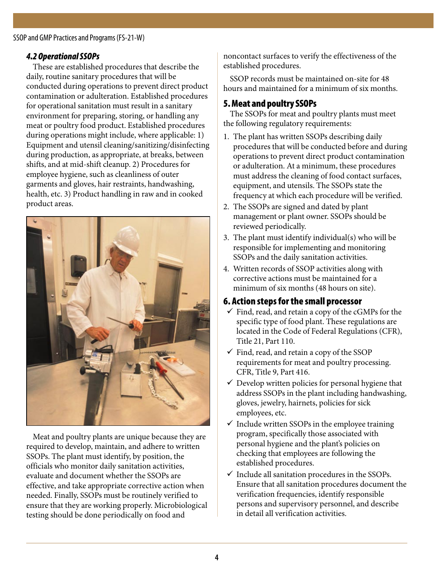SSOP and GMP Practices and Programs (FS-21-W)

## *4.2 Operational SSOPs*

These are established procedures that describe the daily, routine sanitary procedures that will be conducted during operations to prevent direct product contamination or adulteration. Established procedures for operational sanitation must result in a sanitary environment for preparing, storing, or handling any meat or poultry food product. Established procedures during operations might include, where applicable: 1) Equipment and utensil cleaning/sanitizing/disinfecting during production, as appropriate, at breaks, between shifts, and at mid-shift cleanup. 2) Procedures for employee hygiene, such as cleanliness of outer garments and gloves, hair restraints, handwashing, health, etc. 3) Product handling in raw and in cooked product areas.



Meat and poultry plants are unique because they are required to develop, maintain, and adhere to written SSOPs. The plant must identify, by position, the officials who monitor daily sanitation activities, evaluate and document whether the SSOPs are effective, and take appropriate corrective action when needed. Finally, SSOPs must be routinely verified to ensure that they are working properly. Microbiological testing should be done periodically on food and

noncontact surfaces to verify the effectiveness of the established procedures.

SSOP records must be maintained on-site for 48 hours and maintained for a minimum of six months.

## 5. Meat and poultry SSOPs

The SSOPs for meat and poultry plants must meet the following regulatory requirements:

- 1. The plant has written SSOPs describing daily procedures that will be conducted before and during operations to prevent direct product contamination or adulteration. At a minimum, these procedures must address the cleaning of food contact surfaces, equipment, and utensils. The SSOPs state the frequency at which each procedure will be verified.
- 2. The SSOPs are signed and dated by plant management or plant owner. SSOPs should be reviewed periodically.
- 3. The plant must identify individual(s) who will be responsible for implementing and monitoring SSOPs and the daily sanitation activities.
- 4. Written records of SSOP activities along with corrective actions must be maintained for a minimum of six months (48 hours on site).

## 6. Action steps for the small processor

- $\checkmark$  Find, read, and retain a copy of the cGMPs for the specific type of food plant. These regulations are located in the Code of Federal Regulations (CFR), Title 21, Part 110.
- $\checkmark$  Find, read, and retain a copy of the SSOP requirements for meat and poultry processing. CFR, Title 9, Part 416.
- $\checkmark$  Develop written policies for personal hygiene that address SSOPs in the plant including handwashing, gloves, jewelry, hairnets, policies for sick employees, etc.
- $\checkmark$  Include written SSOPs in the employee training program, specifically those associated with personal hygiene and the plant's policies on checking that employees are following the established procedures.
- $\checkmark$  Include all sanitation procedures in the SSOPs. Ensure that all sanitation procedures document the verification frequencies, identify responsible persons and supervisory personnel, and describe in detail all verification activities.